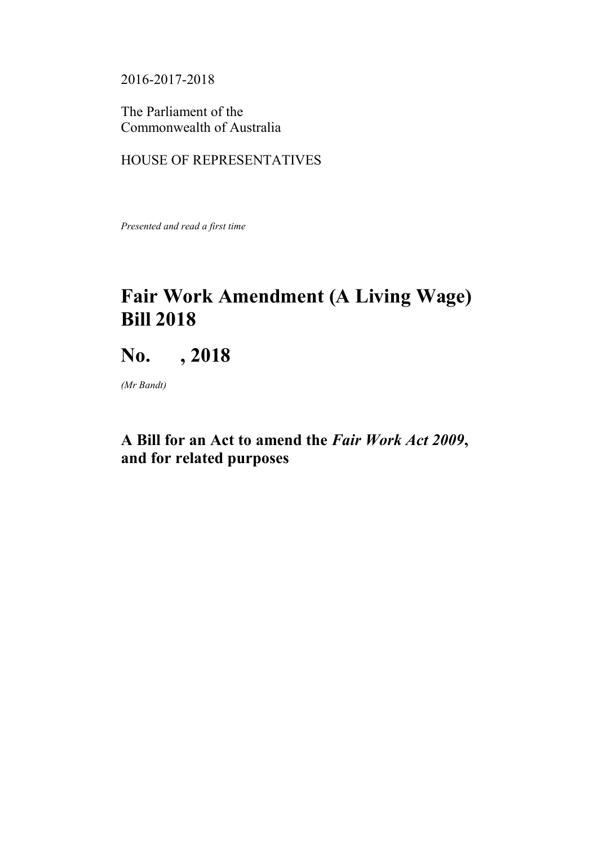2016-2017-2018

The Parliament of the Commonwealth of Australia

# HOUSE OF REPRESENTATIVES

*Presented and read a first time*

# **Fair Work Amendment (A Living Wage) Bill 2018**

# **No. , 2018**

*(Mr Bandt)*

# **A Bill for an Act to amend the** *Fair Work Act 2009***, and for related purposes**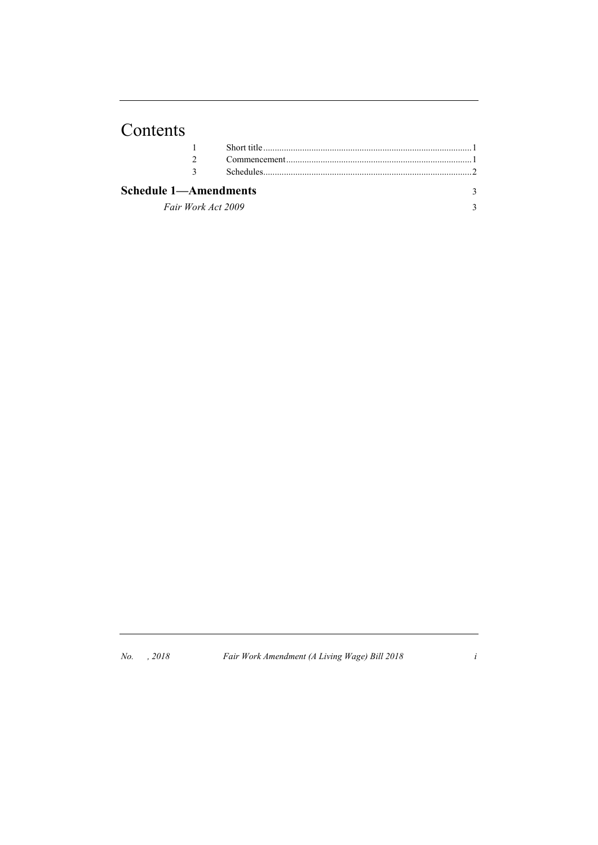# Contents

| Schedule 1—Amendments |  |  |
|-----------------------|--|--|
| Fair Work Act 2009    |  |  |

*No. , 2018 Fair Work Amendment (A Living Wage) Bill 2018 i*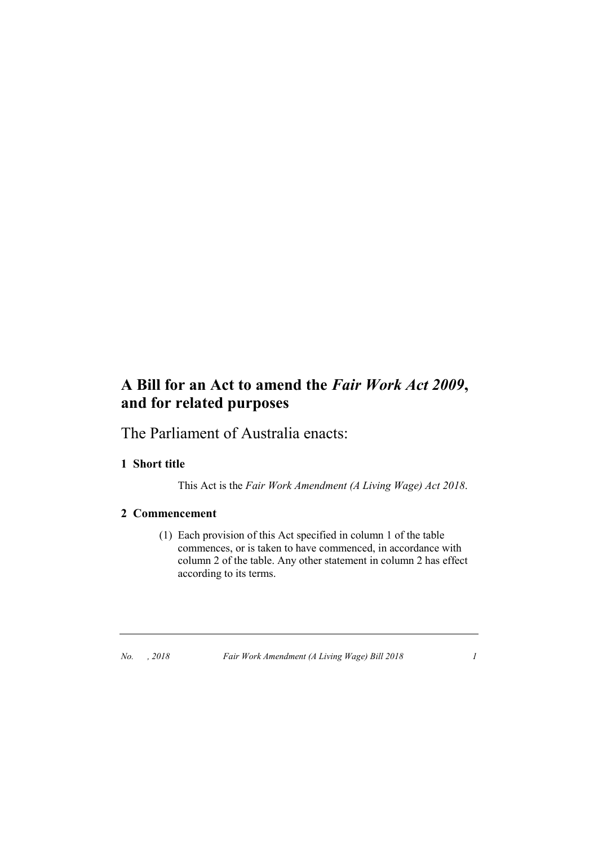# **A Bill for an Act to amend the** *Fair Work Act 2009***, and for related purposes**

The Parliament of Australia enacts:

## **1 Short title**

This Act is the *Fair Work Amendment (A Living Wage) Act 2018*.

### **2 Commencement**

(1) Each provision of this Act specified in column 1 of the table commences, or is taken to have commenced, in accordance with column 2 of the table. Any other statement in column 2 has effect according to its terms.

*No. , 2018 Fair Work Amendment (A Living Wage) Bill 2018 1*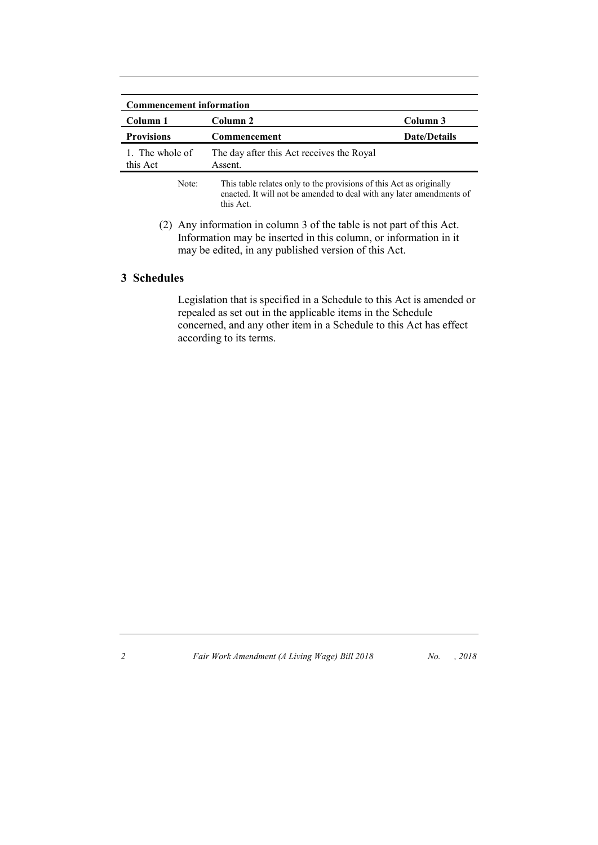| <b>Commencement information</b> |                                                                                                                                             |                     |  |
|---------------------------------|---------------------------------------------------------------------------------------------------------------------------------------------|---------------------|--|
| Column 1                        | Column 2                                                                                                                                    | Column 3            |  |
| <b>Provisions</b>               | Commencement                                                                                                                                | <b>Date/Details</b> |  |
| 1. The whole of<br>this Act     | The day after this Act receives the Royal<br>Assent.                                                                                        |                     |  |
| Note:                           | This table relates only to the provisions of this Act as originally<br>enacted. It will not be amended to deal with any later amendments of |                     |  |

this Act.

(2) Any information in column 3 of the table is not part of this Act. Information may be inserted in this column, or information in it may be edited, in any published version of this Act.

### **3 Schedules**

Legislation that is specified in a Schedule to this Act is amended or repealed as set out in the applicable items in the Schedule concerned, and any other item in a Schedule to this Act has effect according to its terms.

*2 Fair Work Amendment (A Living Wage) Bill 2018 No. , 2018*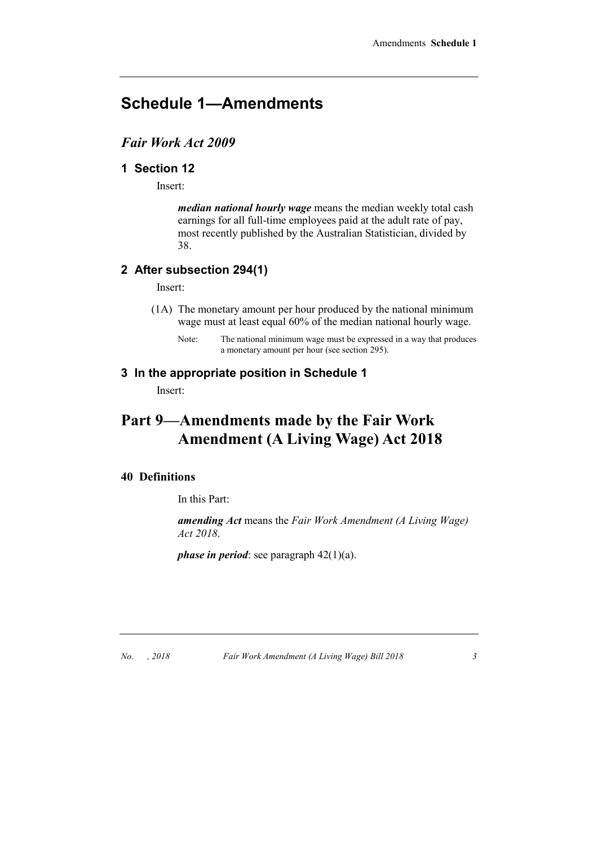# **Schedule 1—Amendments**

## *Fair Work Act 2009*

## **1 Section 12**

Insert:

*median national hourly wage* means the median weekly total cash earnings for all full-time employees paid at the adult rate of pay, most recently published by the Australian Statistician, divided by 38.

## **2 After subsection 294(1)**

Insert:

- (1A) The monetary amount per hour produced by the national minimum wage must at least equal 60% of the median national hourly wage.
	- Note: The national minimum wage must be expressed in a way that produces a monetary amount per hour (see section 295).

## **3 In the appropriate position in Schedule 1**

Insert:

# **Part 9—Amendments made by the Fair Work Amendment (A Living Wage) Act 2018**

### **40 Definitions**

In this Part:

*amending Act* means the *Fair Work Amendment (A Living Wage) Act 2018*.

*phase in period*: see paragraph 42(1)(a).

*No. , 2018 Fair Work Amendment (A Living Wage) Bill 2018 3*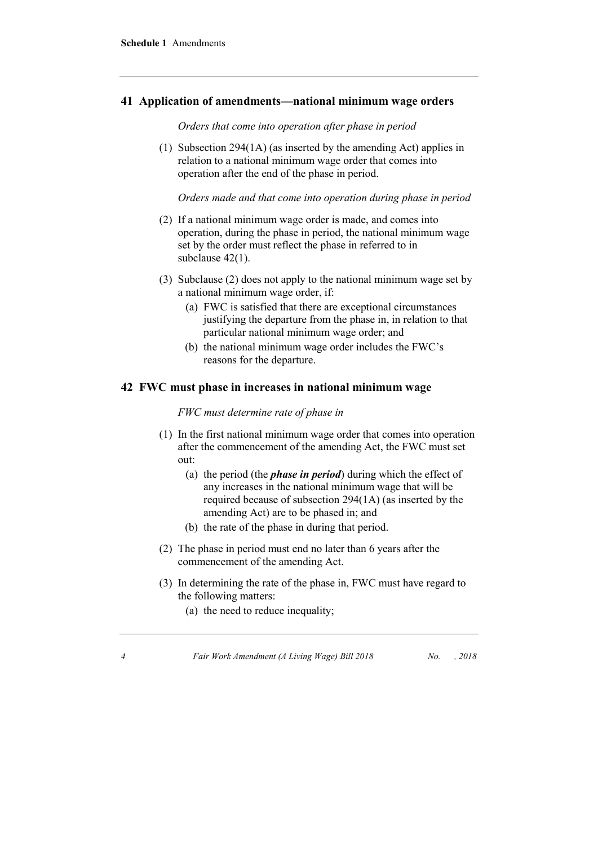#### **41 Application of amendments—national minimum wage orders**

*Orders that come into operation after phase in period*

(1) Subsection 294(1A) (as inserted by the amending Act) applies in relation to a national minimum wage order that comes into operation after the end of the phase in period.

*Orders made and that come into operation during phase in period*

- (2) If a national minimum wage order is made, and comes into operation, during the phase in period, the national minimum wage set by the order must reflect the phase in referred to in subclause  $42(1)$ .
- (3) Subclause (2) does not apply to the national minimum wage set by a national minimum wage order, if:
	- (a) FWC is satisfied that there are exceptional circumstances justifying the departure from the phase in, in relation to that particular national minimum wage order; and
	- (b) the national minimum wage order includes the FWC's reasons for the departure.

#### **42 FWC must phase in increases in national minimum wage**

*FWC must determine rate of phase in*

- (1) In the first national minimum wage order that comes into operation after the commencement of the amending Act, the FWC must set out:
	- (a) the period (the *phase in period*) during which the effect of any increases in the national minimum wage that will be required because of subsection 294(1A) (as inserted by the amending Act) are to be phased in; and
	- (b) the rate of the phase in during that period.
- (2) The phase in period must end no later than 6 years after the commencement of the amending Act.
- (3) In determining the rate of the phase in, FWC must have regard to the following matters:
	- (a) the need to reduce inequality;

*4 Fair Work Amendment (A Living Wage) Bill 2018 No. , 2018*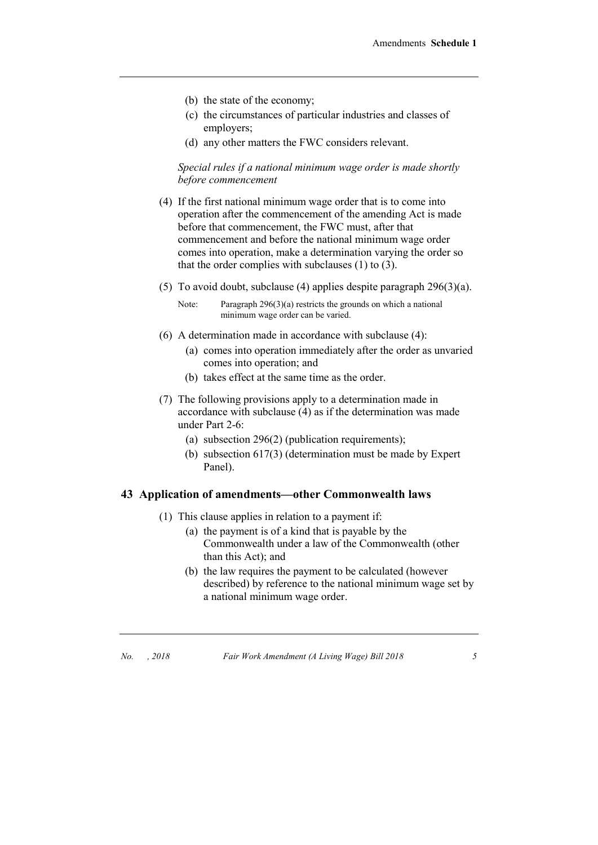- (b) the state of the economy;
- (c) the circumstances of particular industries and classes of employers;
- (d) any other matters the FWC considers relevant.

*Special rules if a national minimum wage order is made shortly before commencement*

- (4) If the first national minimum wage order that is to come into operation after the commencement of the amending Act is made before that commencement, the FWC must, after that commencement and before the national minimum wage order comes into operation, make a determination varying the order so that the order complies with subclauses (1) to (3).
- (5) To avoid doubt, subclause (4) applies despite paragraph 296(3)(a).

Note: Paragraph 296(3)(a) restricts the grounds on which a national minimum wage order can be varied.

- (6) A determination made in accordance with subclause (4):
	- (a) comes into operation immediately after the order as unvaried comes into operation; and
	- (b) takes effect at the same time as the order.
- (7) The following provisions apply to a determination made in accordance with subclause (4) as if the determination was made under Part 2-6:
	- (a) subsection 296(2) (publication requirements);
	- (b) subsection 617(3) (determination must be made by Expert Panel).

#### **43 Application of amendments—other Commonwealth laws**

- (1) This clause applies in relation to a payment if:
	- (a) the payment is of a kind that is payable by the Commonwealth under a law of the Commonwealth (other than this Act); and
	- (b) the law requires the payment to be calculated (however described) by reference to the national minimum wage set by a national minimum wage order.

*No. , 2018 Fair Work Amendment (A Living Wage) Bill 2018 5*